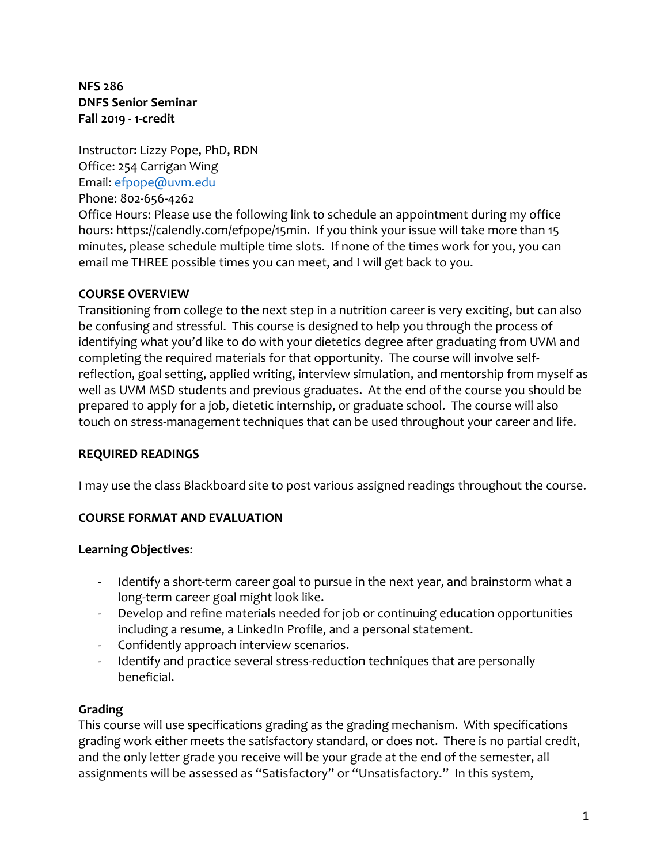**NFS 286 DNFS Senior Seminar Fall 2019 - 1-credit**

Instructor: Lizzy Pope, PhD, RDN Office: 254 Carrigan Wing Email: [efpope@uvm.edu](mailto:efpope@uvm.edu)

Phone: 802-656-4262

Office Hours: Please use the following link to schedule an appointment during my office hours: https://calendly.com/efpope/15min. If you think your issue will take more than 15 minutes, please schedule multiple time slots. If none of the times work for you, you can email me THREE possible times you can meet, and I will get back to you.

### **COURSE OVERVIEW**

Transitioning from college to the next step in a nutrition career is very exciting, but can also be confusing and stressful. This course is designed to help you through the process of identifying what you'd like to do with your dietetics degree after graduating from UVM and completing the required materials for that opportunity. The course will involve selfreflection, goal setting, applied writing, interview simulation, and mentorship from myself as well as UVM MSD students and previous graduates. At the end of the course you should be prepared to apply for a job, dietetic internship, or graduate school. The course will also touch on stress-management techniques that can be used throughout your career and life.

#### **REQUIRED READINGS**

I may use the class Blackboard site to post various assigned readings throughout the course.

### **COURSE FORMAT AND EVALUATION**

#### **Learning Objectives**:

- Identify a short-term career goal to pursue in the next year, and brainstorm what a long-term career goal might look like.
- Develop and refine materials needed for job or continuing education opportunities including a resume, a LinkedIn Profile, and a personal statement.
- Confidently approach interview scenarios.
- Identify and practice several stress-reduction techniques that are personally beneficial.

### **Grading**

This course will use specifications grading as the grading mechanism. With specifications grading work either meets the satisfactory standard, or does not. There is no partial credit, and the only letter grade you receive will be your grade at the end of the semester, all assignments will be assessed as "Satisfactory" or "Unsatisfactory." In this system,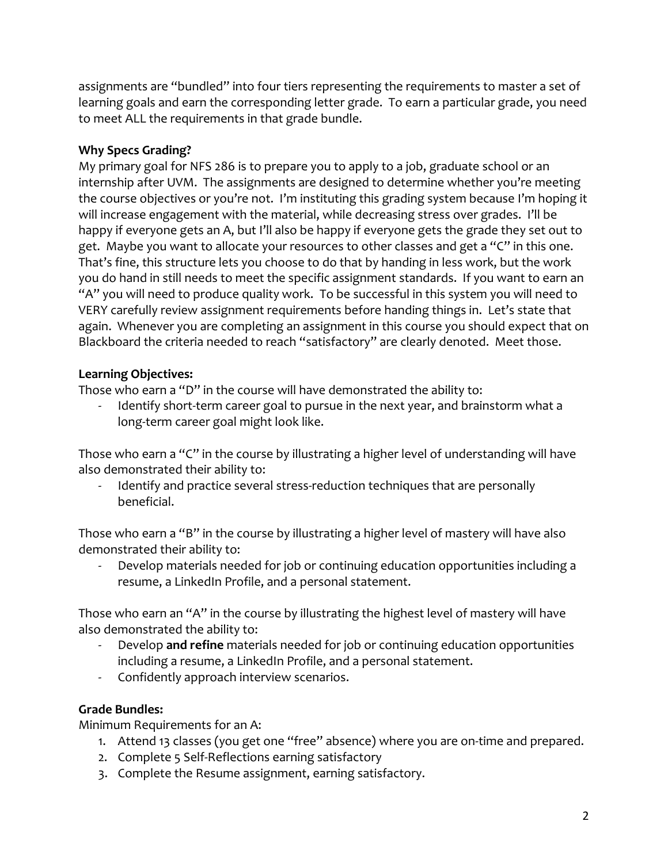assignments are "bundled" into four tiers representing the requirements to master a set of learning goals and earn the corresponding letter grade. To earn a particular grade, you need to meet ALL the requirements in that grade bundle.

### **Why Specs Grading?**

My primary goal for NFS 286 is to prepare you to apply to a job, graduate school or an internship after UVM. The assignments are designed to determine whether you're meeting the course objectives or you're not. I'm instituting this grading system because I'm hoping it will increase engagement with the material, while decreasing stress over grades. I'll be happy if everyone gets an A, but I'll also be happy if everyone gets the grade they set out to get. Maybe you want to allocate your resources to other classes and get a "C" in this one. That's fine, this structure lets you choose to do that by handing in less work, but the work you do hand in still needs to meet the specific assignment standards. If you want to earn an "A" you will need to produce quality work. To be successful in this system you will need to VERY carefully review assignment requirements before handing things in. Let's state that again. Whenever you are completing an assignment in this course you should expect that on Blackboard the criteria needed to reach "satisfactory" are clearly denoted. Meet those.

# **Learning Objectives:**

Those who earn a "D" in the course will have demonstrated the ability to:

Identify short-term career goal to pursue in the next year, and brainstorm what a long-term career goal might look like.

Those who earn a "C" in the course by illustrating a higher level of understanding will have also demonstrated their ability to:

- Identify and practice several stress-reduction techniques that are personally beneficial.

Those who earn a "B" in the course by illustrating a higher level of mastery will have also demonstrated their ability to:

Develop materials needed for job or continuing education opportunities including a resume, a LinkedIn Profile, and a personal statement.

Those who earn an "A" in the course by illustrating the highest level of mastery will have also demonstrated the ability to:

- Develop **and refine** materials needed for job or continuing education opportunities including a resume, a LinkedIn Profile, and a personal statement.
- Confidently approach interview scenarios.

### **Grade Bundles:**

Minimum Requirements for an A:

- 1. Attend 13 classes (you get one "free" absence) where you are on-time and prepared.
- 2. Complete 5 Self-Reflections earning satisfactory
- 3. Complete the Resume assignment, earning satisfactory.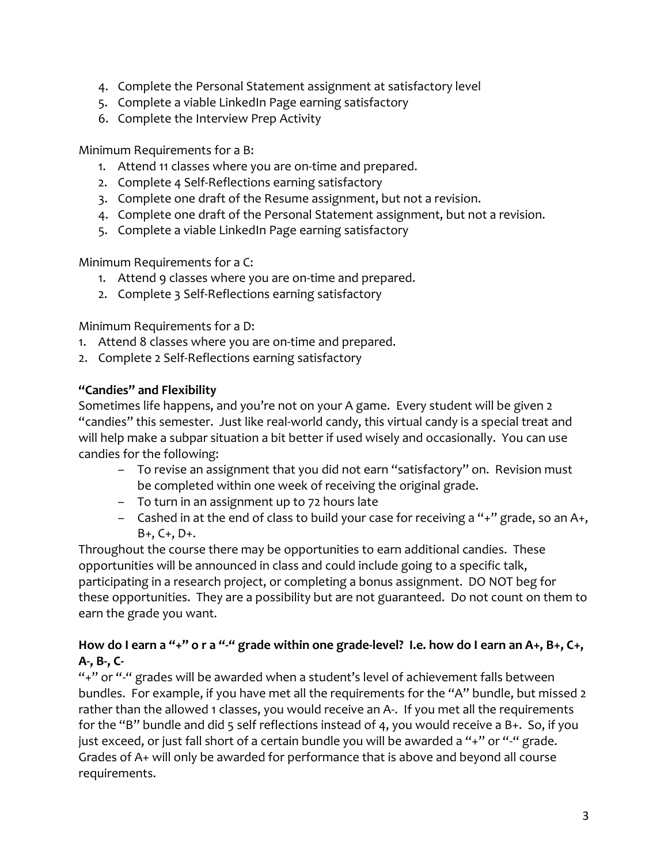- 4. Complete the Personal Statement assignment at satisfactory level
- 5. Complete a viable LinkedIn Page earning satisfactory
- 6. Complete the Interview Prep Activity

Minimum Requirements for a B:

- 1. Attend 11 classes where you are on-time and prepared.
- 2. Complete 4 Self-Reflections earning satisfactory
- 3. Complete one draft of the Resume assignment, but not a revision.
- 4. Complete one draft of the Personal Statement assignment, but not a revision.
- 5. Complete a viable LinkedIn Page earning satisfactory

Minimum Requirements for a C:

- 1. Attend 9 classes where you are on-time and prepared.
- 2. Complete 3 Self-Reflections earning satisfactory

Minimum Requirements for a D:

- 1. Attend 8 classes where you are on-time and prepared.
- 2. Complete 2 Self-Reflections earning satisfactory

#### **"Candies" and Flexibility**

Sometimes life happens, and you're not on your A game. Every student will be given 2 "candies" this semester. Just like real-world candy, this virtual candy is a special treat and will help make a subpar situation a bit better if used wisely and occasionally. You can use candies for the following:

- To revise an assignment that you did not earn "satisfactory" on. Revision must be completed within one week of receiving the original grade.
- To turn in an assignment up to 72 hours late
- Cashed in at the end of class to build your case for receiving a "+" grade, so an A+, B+, C+, D+.

Throughout the course there may be opportunities to earn additional candies. These opportunities will be announced in class and could include going to a specific talk, participating in a research project, or completing a bonus assignment. DO NOT beg for these opportunities. They are a possibility but are not guaranteed. Do not count on them to earn the grade you want.

# **How do I earn a "+" o r a "-" grade within one grade-level? I.e. how do I earn an A+, B+, C+, A-, B-, C-**

"+" or "-" grades will be awarded when a student's level of achievement falls between bundles. For example, if you have met all the requirements for the "A" bundle, but missed 2 rather than the allowed 1 classes, you would receive an A-. If you met all the requirements for the "B" bundle and did 5 self reflections instead of 4, you would receive a B+. So, if you just exceed, or just fall short of a certain bundle you will be awarded a "+" or "-" grade. Grades of A+ will only be awarded for performance that is above and beyond all course requirements.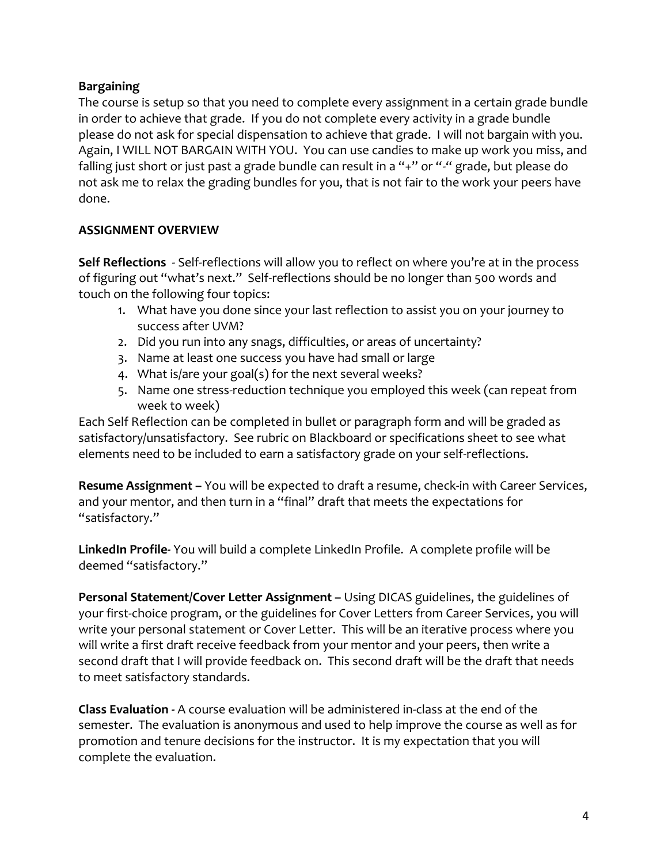### **Bargaining**

The course is setup so that you need to complete every assignment in a certain grade bundle in order to achieve that grade. If you do not complete every activity in a grade bundle please do not ask for special dispensation to achieve that grade. I will not bargain with you. Again, I WILL NOT BARGAIN WITH YOU. You can use candies to make up work you miss, and falling just short or just past a grade bundle can result in a "+" or "-" grade, but please do not ask me to relax the grading bundles for you, that is not fair to the work your peers have done.

### **ASSIGNMENT OVERVIEW**

**Self Reflections** - Self-reflections will allow you to reflect on where you're at in the process of figuring out "what's next." Self-reflections should be no longer than 500 words and touch on the following four topics:

- 1. What have you done since your last reflection to assist you on your journey to success after UVM?
- 2. Did you run into any snags, difficulties, or areas of uncertainty?
- 3. Name at least one success you have had small or large
- 4. What is/are your goal(s) for the next several weeks?
- 5. Name one stress-reduction technique you employed this week (can repeat from week to week)

Each Self Reflection can be completed in bullet or paragraph form and will be graded as satisfactory/unsatisfactory. See rubric on Blackboard or specifications sheet to see what elements need to be included to earn a satisfactory grade on your self-reflections.

**Resume Assignment –** You will be expected to draft a resume, check-in with Career Services, and your mentor, and then turn in a "final" draft that meets the expectations for "satisfactory."

**LinkedIn Profile-** You will build a complete LinkedIn Profile. A complete profile will be deemed "satisfactory."

**Personal Statement/Cover Letter Assignment –** Using DICAS guidelines, the guidelines of your first-choice program, or the guidelines for Cover Letters from Career Services, you will write your personal statement or Cover Letter. This will be an iterative process where you will write a first draft receive feedback from your mentor and your peers, then write a second draft that I will provide feedback on. This second draft will be the draft that needs to meet satisfactory standards.

**Class Evaluation -** A course evaluation will be administered in-class at the end of the semester. The evaluation is anonymous and used to help improve the course as well as for promotion and tenure decisions for the instructor. It is my expectation that you will complete the evaluation.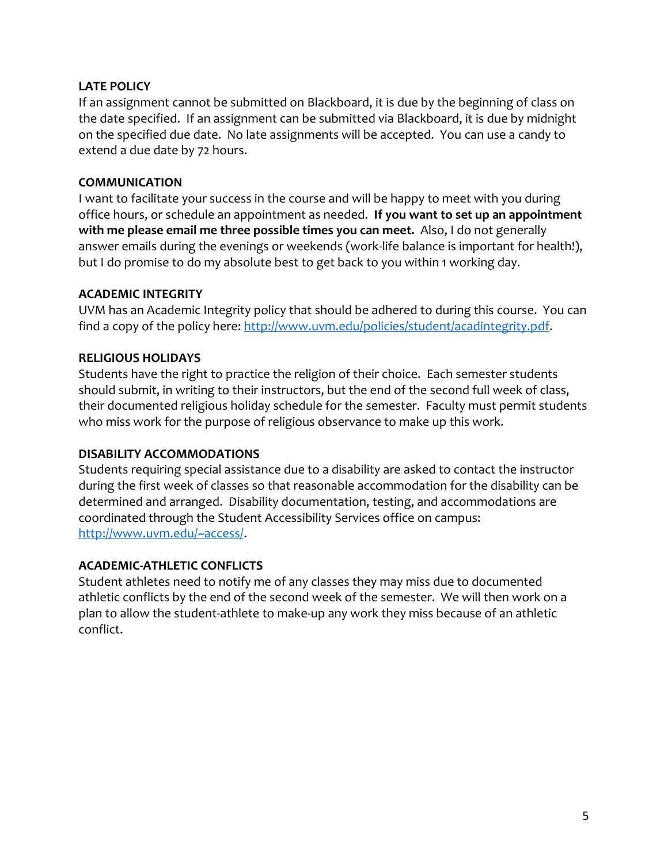#### **LATE POLICY**

If an assignment cannot be submitted on Blackboard, it is due by the beginning of class on the date specified. If an assignment can be submitted via Blackboard, it is due by midnight on the specified due date. No late assignments will be accepted. You can use a candy to extend a due date by 72 hours.

#### **COMMUNICATION**

I want to facilitate your success in the course and will be happy to meet with you during office hours, or schedule an appointment as needed. **If you want to set up an appointment with me please email me three possible times you can meet.** Also, I do not generally answer emails during the evenings or weekends (work-life balance is important for health!), but I do promise to do my absolute best to get back to you within 1 working day.

#### **ACADEMIC INTEGRITY**

UVM has an Academic Integrity policy that should be adhered to during this course. You can find a copy of the policy here: [http://www.uvm.edu/policies/student/acadintegrity.pdf.](http://www.uvm.edu/policies/student/acadintegrity.pdf)

#### **RELIGIOUS HOLIDAYS**

Students have the right to practice the religion of their choice. Each semester students should submit, in writing to their instructors, but the end of the second full week of class, their documented religious holiday schedule for the semester. Faculty must permit students who miss work for the purpose of religious observance to make up this work.

#### **DISABILITY ACCOMMODATIONS**

Students requiring special assistance due to a disability are asked to contact the instructor during the first week of classes so that reasonable accommodation for the disability can be determined and arranged. Disability documentation, testing, and accommodations are coordinated through the Student Accessibility Services office on campus: [http://www.uvm.edu/~access/.](http://www.uvm.edu/~access/)

#### **ACADEMIC-ATHLETIC CONFLICTS**

Student athletes need to notify me of any classes they may miss due to documented athletic conflicts by the end of the second week of the semester. We will then work on a plan to allow the student-athlete to make-up any work they miss because of an athletic conflict.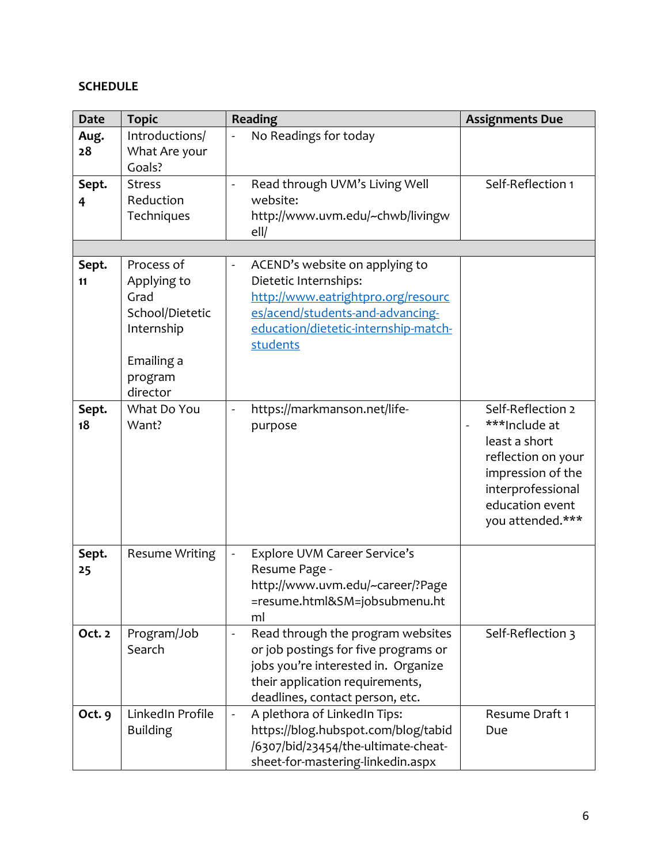# **SCHEDULE**

| <b>Date</b> | <b>Topic</b>          | <b>Reading</b>                                                | <b>Assignments Due</b>                    |
|-------------|-----------------------|---------------------------------------------------------------|-------------------------------------------|
| Aug.        | Introductions/        | No Readings for today                                         |                                           |
| 28          | What Are your         |                                                               |                                           |
|             | Goals?                |                                                               |                                           |
| Sept.       | <b>Stress</b>         | Read through UVM's Living Well<br>$\overline{a}$              | Self-Reflection 1                         |
| 4           | Reduction             | website:                                                      |                                           |
|             | Techniques            | http://www.uvm.edu/~chwb/livingw                              |                                           |
|             |                       | ell                                                           |                                           |
|             |                       |                                                               |                                           |
| Sept.       | Process of            | ACEND's website on applying to                                |                                           |
| 11          | Applying to           | Dietetic Internships:                                         |                                           |
|             | Grad                  | http://www.eatrightpro.org/resourc                            |                                           |
|             | School/Dietetic       | es/acend/students-and-advancing-                              |                                           |
|             | Internship            | education/dietetic-internship-match-                          |                                           |
|             | Emailing a            | students                                                      |                                           |
|             | program               |                                                               |                                           |
|             | director              |                                                               |                                           |
| Sept.       | What Do You           | https://markmanson.net/life-                                  | Self-Reflection 2                         |
| 18          | Want?                 | purpose                                                       | ***Include at<br>$\overline{\phantom{a}}$ |
|             |                       |                                                               | least a short                             |
|             |                       |                                                               | reflection on your                        |
|             |                       |                                                               | impression of the                         |
|             |                       |                                                               | interprofessional                         |
|             |                       |                                                               | education event                           |
|             |                       |                                                               | you attended.***                          |
|             |                       |                                                               |                                           |
| Sept.       | <b>Resume Writing</b> | <b>Explore UVM Career Service's</b>                           |                                           |
| 25          |                       | Resume Page -                                                 |                                           |
|             |                       | http://www.uvm.edu/~career/?Page                              |                                           |
|             |                       | =resume.html&SM=jobsubmenu.ht                                 |                                           |
|             |                       | ml                                                            |                                           |
| Oct. 2      | Program/Job           | Read through the program websites<br>$\overline{\phantom{0}}$ | Self-Reflection 3                         |
|             | Search                | or job postings for five programs or                          |                                           |
|             |                       | jobs you're interested in. Organize                           |                                           |
|             |                       | their application requirements,                               |                                           |
|             |                       | deadlines, contact person, etc.                               |                                           |
| Oct. 9      | LinkedIn Profile      | A plethora of LinkedIn Tips:<br>$\blacksquare$                | Resume Draft 1                            |
|             | <b>Building</b>       | https://blog.hubspot.com/blog/tabid                           | Due                                       |
|             |                       | /6307/bid/23454/the-ultimate-cheat-                           |                                           |
|             |                       | sheet-for-mastering-linkedin.aspx                             |                                           |